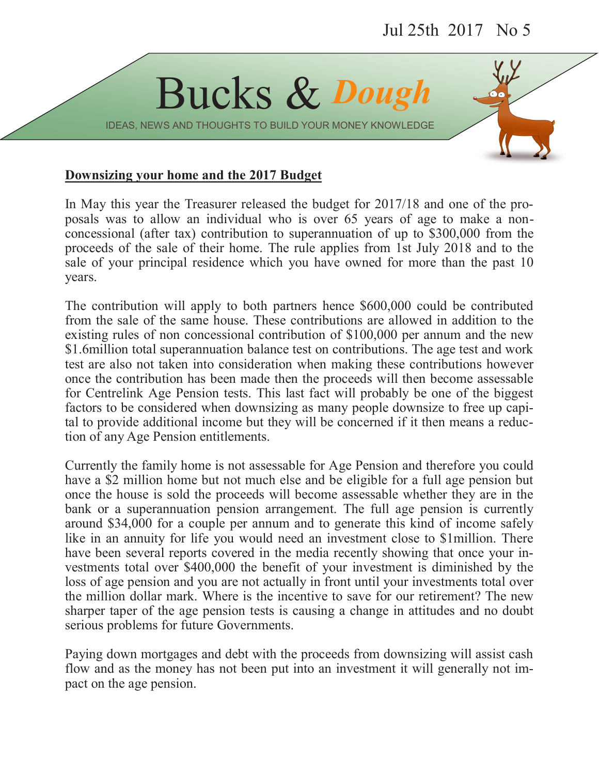

IDEAS, NEWS AND THOUGHTS TO BUILD YOUR MONEY KNOWLEDGE

## **Downsizing your home and the 2017 Budget**

In May this year the Treasurer released the budget for 2017/18 and one of the proposals was to allow an individual who is over 65 years of age to make a nonconcessional (after tax) contribution to superannuation of up to \$300,000 from the proceeds of the sale of their home. The rule applies from 1st July 2018 and to the sale of your principal residence which you have owned for more than the past 10 years.

The contribution will apply to both partners hence \$600,000 could be contributed from the sale of the same house. These contributions are allowed in addition to the existing rules of non concessional contribution of \$100,000 per annum and the new \$1.6million total superannuation balance test on contributions. The age test and work test are also not taken into consideration when making these contributions however once the contribution has been made then the proceeds will then become assessable for Centrelink Age Pension tests. This last fact will probably be one of the biggest factors to be considered when downsizing as many people downsize to free up capital to provide additional income but they will be concerned if it then means a reduction of any Age Pension entitlements.

Currently the family home is not assessable for Age Pension and therefore you could have a \$2 million home but not much else and be eligible for a full age pension but once the house is sold the proceeds will become assessable whether they are in the bank or a superannuation pension arrangement. The full age pension is currently around \$34,000 for a couple per annum and to generate this kind of income safely like in an annuity for life you would need an investment close to \$1million. There have been several reports covered in the media recently showing that once your investments total over \$400,000 the benefit of your investment is diminished by the loss of age pension and you are not actually in front until your investments total over the million dollar mark. Where is the incentive to save for our retirement? The new sharper taper of the age pension tests is causing a change in attitudes and no doubt serious problems for future Governments.

Paying down mortgages and debt with the proceeds from downsizing will assist cash flow and as the money has not been put into an investment it will generally not impact on the age pension.